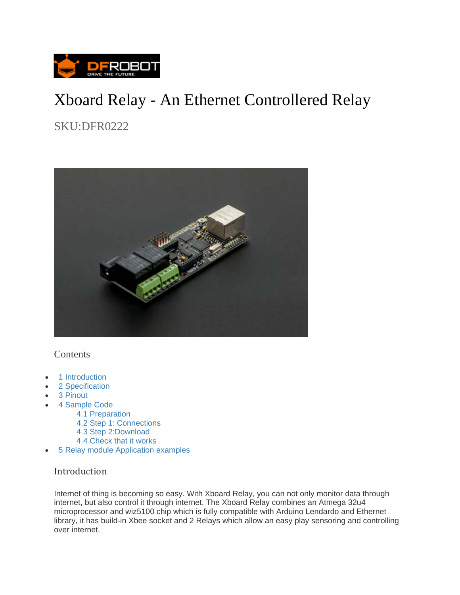

# Xboard Relay - An Ethernet Controllered Relay

SKU:DFR0222



### Contents

- 1 Introduction
- 2 Specification
- 3 Pinout
- 4 Sample Code
	- 4.1 Preparation
	- 4.2 Step 1: Connections
	- 4.3 Step 2:Download
	- 4.4 Check that it works
- 5 Relay module Application examples

### Introduction

Internet of thing is becoming so easy. With Xboard Relay, you can not only monitor data through internet, but also control it through internet. The Xboard Relay combines an Atmega 32u4 microprocessor and wiz5100 chip which is fully compatible with Arduino Lendardo and Ethernet library, it has build-in Xbee socket and 2 Relays which allow an easy play sensoring and controlling over internet.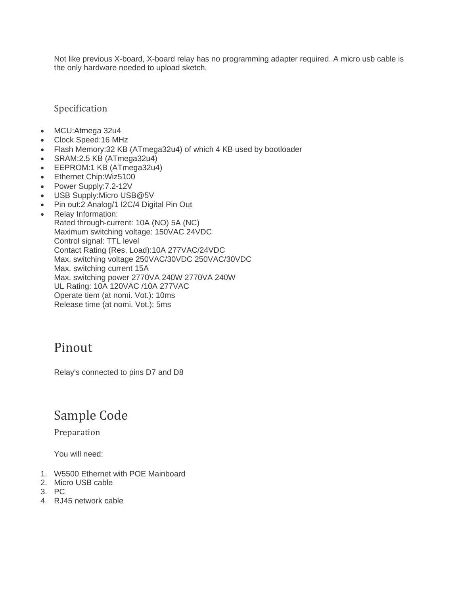Not like previous X-board, X-board relay has no programming adapter required. A micro usb cable is the only hardware needed to upload sketch.

Specification

- MCU:Atmega 32u4
- Clock Speed:16 MHz
- Flash Memory:32 KB (ATmega32u4) of which 4 KB used by bootloader
- SRAM:2.5 KB (ATmega32u4)
- EEPROM:1 KB (ATmega32u4)
- Ethernet Chip: Wiz5100
- Power Supply: 7.2-12V
- USB Supply:Micro USB@5V
- Pin out:2 Analog/1 I2C/4 Digital Pin Out
- Relay Information: Rated through-current: 10A (NO) 5A (NC) Maximum switching voltage: 150VAC 24VDC Control signal: TTL level Contact Rating (Res. Load):10A 277VAC/24VDC Max. switching voltage 250VAC/30VDC 250VAC/30VDC Max. switching current 15A Max. switching power 2770VA 240W 2770VA 240W UL Rating: 10A 120VAC /10A 277VAC Operate tiem (at nomi. Vot.): 10ms Release time (at nomi. Vot.): 5ms

### Pinout

Relay's connected to pins D7 and D8

## Sample Code

Preparation 

You will need:

- 1. W5500 Ethernet with POE Mainboard
- 2. Micro USB cable
- 3. PC
- 4. RJ45 network cable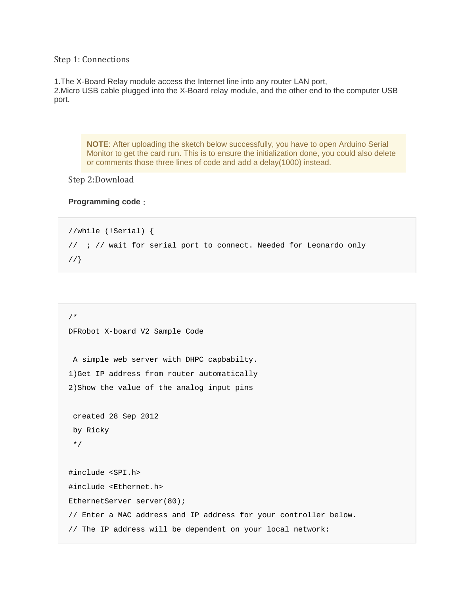Step 1: Connections

1.The X-Board Relay module access the Internet line into any router LAN port, 2.Micro USB cable plugged into the X-Board relay module, and the other end to the computer USB port.

**NOTE**: After uploading the sketch below successfully, you have to open Arduino Serial Monitor to get the card run. This is to ensure the initialization done, you could also delete or comments those three lines of code and add a delay(1000) instead.

Step 2:Download

#### **Programming code**:

```
//while (!Serial) { 
// ; // wait for serial port to connect. Needed for Leonardo only 
//}
```

```
/* 
DFRobot X-board V2 Sample Code 
 A simple web server with DHPC capbabilty. 
1)Get IP address from router automatically 
2)Show the value of the analog input pins 
  created 28 Sep 2012 
 by Ricky 
  */ 
#include <SPI.h> 
#include <Ethernet.h> 
EthernetServer server(80);
// Enter a MAC address and IP address for your controller below. 
// The IP address will be dependent on your local network:
```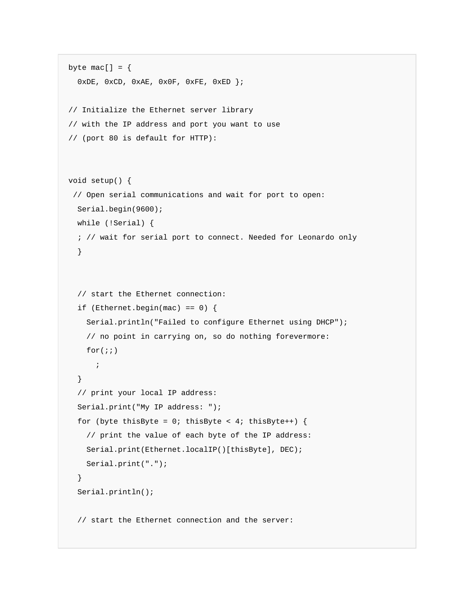```
byte mac[] = { 0xDE, 0xCD, 0xAE, 0x0F, 0xFE, 0xED }; 
// Initialize the Ethernet server library 
// with the IP address and port you want to use 
// (port 80 is default for HTTP): 
void setup() { 
  // Open serial communications and wait for port to open: 
  Serial.begin(9600); 
   while (!Serial) { 
   ; // wait for serial port to connect. Needed for Leonardo only 
   } 
   // start the Ethernet connection: 
  if (Ethernet.begin(mac) == 0) {
     Serial.println("Failed to configure Ethernet using DHCP"); 
     // no point in carrying on, so do nothing forevermore: 
    for(i; ; 
   } 
   // print your local IP address: 
   Serial.print("My IP address: "); 
  for (byte thisByte = 0; thisByte < 4; thisByte++) {
     // print the value of each byte of the IP address: 
     Serial.print(Ethernet.localIP()[thisByte], DEC); 
     Serial.print("."); 
   } 
   Serial.println(); 
   // start the Ethernet connection and the server:
```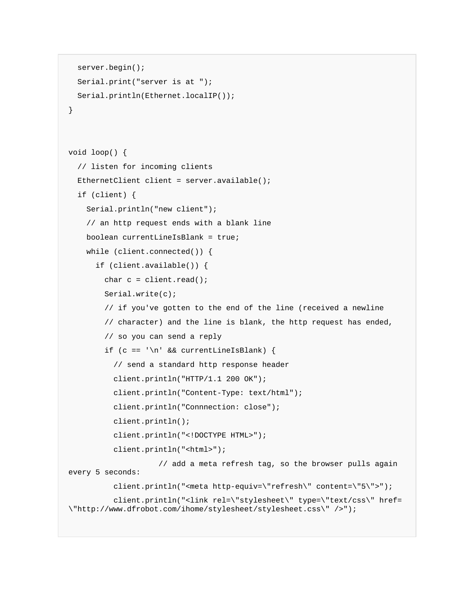```
 server.begin(); 
   Serial.print("server is at "); 
   Serial.println(Ethernet.localIP()); 
} 
void loop() { 
   // listen for incoming clients 
   EthernetClient client = server.available(); 
   if (client) { 
     Serial.println("new client"); 
     // an http request ends with a blank line 
     boolean currentLineIsBlank = true; 
     while (client.connected()) { 
       if (client.available()) { 
        char c = client.read();
         Serial.write(c); 
         // if you've gotten to the end of the line (received a newline 
         // character) and the line is blank, the http request has ended, 
         // so you can send a reply 
        if (c == ' \n' & currentLineIsBlank) // send a standard http response header 
           client.println("HTTP/1.1 200 OK"); 
           client.println("Content-Type: text/html"); 
           client.println("Connnection: close"); 
           client.println(); 
           client.println("<!DOCTYPE HTML>"); 
           client.println("<html>"); 
                      // add a meta refresh tag, so the browser pulls again 
every 5 seconds: 
           client.println("<meta http-equiv=\"refresh\" content=\"5\">"); 
           client.println("<link rel=\"stylesheet\" type=\"text/css\" href=
\"http://www.dfrobot.com/ihome/stylesheet/stylesheet.css\" />");
```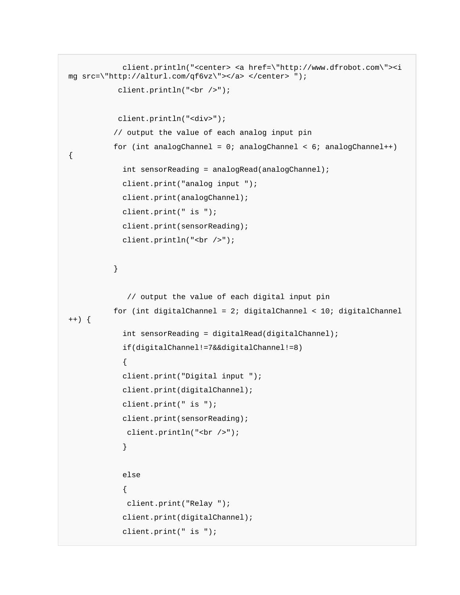```
 client.println("<center> <a href=\"http://www.dfrobot.com\"><i
mg src=\"http://alturl.com/qf6vz\"></a> </center> "); 
            client.println("<br />"); 
            client.println("<div>"); 
           // output the value of each analog input pin 
           for (int analogChannel = 0; analogChannel < 6; analogChannel++) 
{ 
             int sensorReading = analogRead(analogChannel); 
             client.print("analog input "); 
             client.print(analogChannel); 
             client.print(" is "); 
             client.print(sensorReading); 
             client.println("<br />"); 
           } 
              // output the value of each digital input pin 
           for (int digitalChannel = 2; digitalChannel < 10; digitalChannel
++) {
             int sensorReading = digitalRead(digitalChannel); 
             if(digitalChannel!=7&&digitalChannel!=8) 
\{ client.print("Digital input "); 
             client.print(digitalChannel); 
             client.print(" is "); 
             client.print(sensorReading); 
              client.println("<br />"); 
 } 
             else 
\{ client.print("Relay "); 
             client.print(digitalChannel); 
             client.print(" is ");
```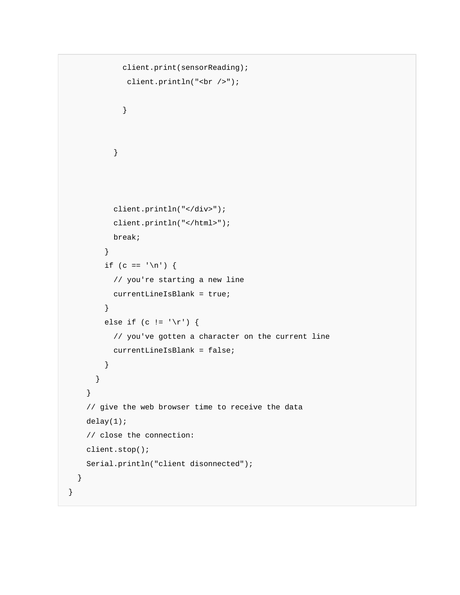```
 client.print(sensorReading); 
              client.println("<br />"); 
 } 
           } 
           client.println("</div>"); 
           client.println("</html>"); 
           break; 
         } 
        if (c == '\n\pi') {
           // you're starting a new line 
           currentLineIsBlank = true; 
         } 
        else if (c != '\rur) {
           // you've gotten a character on the current line 
           currentLineIsBlank = false; 
         } 
       } 
     } 
     // give the web browser time to receive the data 
     delay(1); 
     // close the connection: 
     client.stop(); 
     Serial.println("client disonnected"); 
  } 
}
```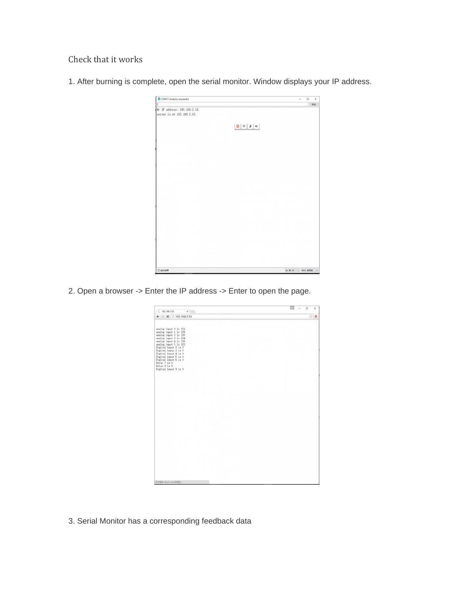Check that it works

1. After burning is complete, open the serial monitor. Window displays your IP address.

| $\Box$<br>$\times$<br>$\sim$                                                                                                                                |
|-------------------------------------------------------------------------------------------------------------------------------------------------------------|
| 宝道                                                                                                                                                          |
|                                                                                                                                                             |
|                                                                                                                                                             |
|                                                                                                                                                             |
|                                                                                                                                                             |
|                                                                                                                                                             |
|                                                                                                                                                             |
|                                                                                                                                                             |
|                                                                                                                                                             |
|                                                                                                                                                             |
|                                                                                                                                                             |
|                                                                                                                                                             |
|                                                                                                                                                             |
|                                                                                                                                                             |
|                                                                                                                                                             |
|                                                                                                                                                             |
|                                                                                                                                                             |
|                                                                                                                                                             |
|                                                                                                                                                             |
|                                                                                                                                                             |
|                                                                                                                                                             |
|                                                                                                                                                             |
|                                                                                                                                                             |
|                                                                                                                                                             |
|                                                                                                                                                             |
|                                                                                                                                                             |
|                                                                                                                                                             |
|                                                                                                                                                             |
|                                                                                                                                                             |
|                                                                                                                                                             |
|                                                                                                                                                             |
| <b>其 和 CX → 1000 波特軍</b>                                                                                                                                    |
| $\begin{array}{ c c } \hline \textbf{B} & \textbf{b} & \textbf{c} \end{array} \begin{array}{ c c } \hline \textbf{B} & \textbf{c} & \textbf{c} \end{array}$ |

2. Open a browser -> Enter the IP address -> Enter to open the page.

| $C$ 192.168.2.53<br>x                                                                                                                                                                                                                                                                                                                   | $\Box$<br>$\times$ |
|-----------------------------------------------------------------------------------------------------------------------------------------------------------------------------------------------------------------------------------------------------------------------------------------------------------------------------------------|--------------------|
| $\leftarrow$ $+$ X $\Box$ 192.168.2.53                                                                                                                                                                                                                                                                                                  | ☆■                 |
| analog input 0 is 151<br>analog input 1 is 139<br>analog input 2 is 130<br>analog input 3 is 134<br>analog input 4 is 138<br>analog input 5 is 132<br>Digital Input 2 is 0<br>Digital input 3 is 0<br>Digital input 4 is 0<br>Digital Input 5 is 0<br>Digital input 6 is 0<br>Relay 7 is 0<br>.<br>Relay B is 0<br>Digital input 9 is 0 |                    |
|                                                                                                                                                                                                                                                                                                                                         |                    |
|                                                                                                                                                                                                                                                                                                                                         |                    |
| 正在每件 abation EWS-                                                                                                                                                                                                                                                                                                                       |                    |

3. Serial Monitor has a corresponding feedback data